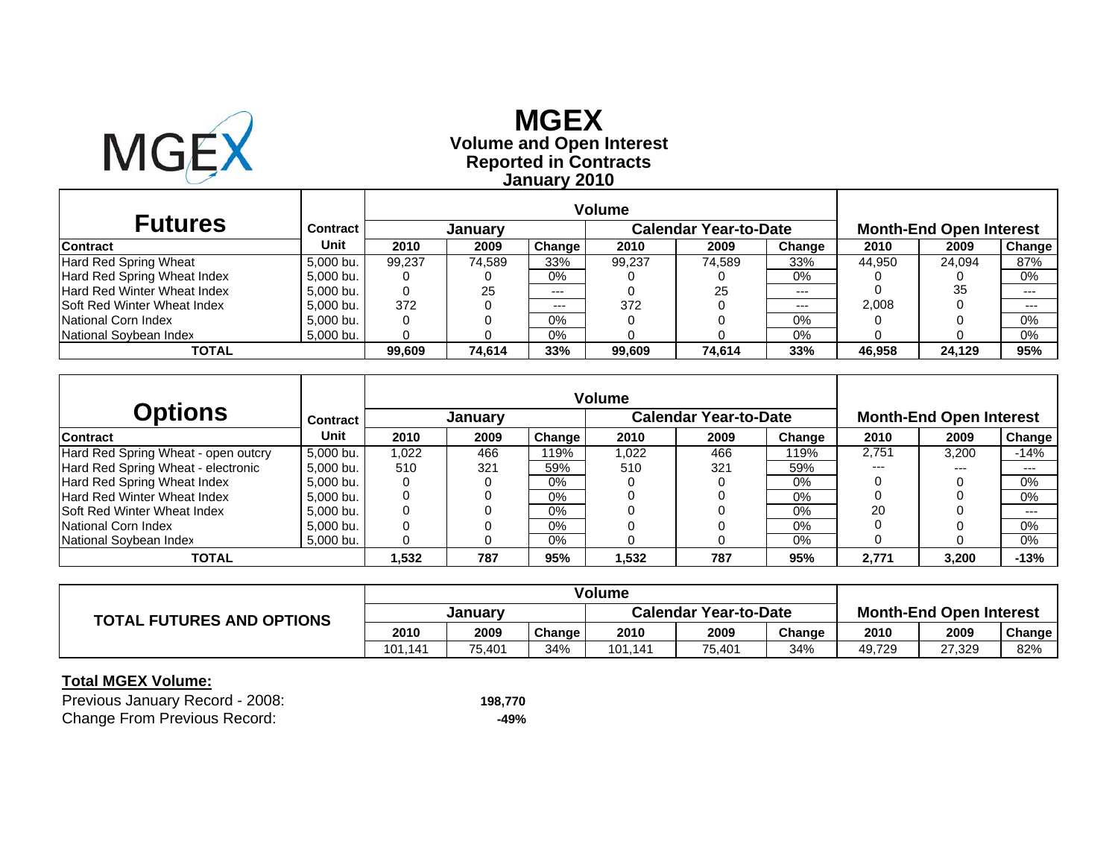

**T** 

# **Reported in Contracts Volume and Open Interest MGEX January 2010**

| <b>Futures</b>                     | Contract  |        | <b>January</b> |        |        | <b>Calendar Year-to-Date</b> |        |        | <b>Month-End Open Interest</b> |               |  |  |
|------------------------------------|-----------|--------|----------------|--------|--------|------------------------------|--------|--------|--------------------------------|---------------|--|--|
| <b>Contract</b>                    | Unit      | 2010   | 2009           | Change | 2010   | 2009                         | Change | 2010   | 2009                           | <b>Change</b> |  |  |
| Hard Red Spring Wheat              | 5,000 bu. | 99.237 | 74.589         | 33%    | 99.237 | 74.589                       | 33%    | 44,950 | 24.094                         | 87%           |  |  |
| Hard Red Spring Wheat Index        | 5,000 bu. |        |                | 0%     |        |                              | 0%     |        |                                | 0%            |  |  |
| Hard Red Winter Wheat Index        | 5,000 bu. |        | 25             | $---$  |        | 25                           | $---$  |        | 35                             | $---$         |  |  |
| <b>Soft Red Winter Wheat Index</b> | 5,000 bu. | 372    |                | $---$  | 372    |                              | $---$  | 2,008  |                                | $- - -$       |  |  |
| National Corn Index                | 5.000 bu. |        |                | 0%     |        |                              | 0%     |        |                                | 0%            |  |  |
| National Soybean Index             | 5,000 bu. |        |                | 0%     |        |                              | 0%     |        |                                | 0%            |  |  |
| <b>TOTAL</b>                       |           | 99.609 | 74.614         | 33%    | 99.609 | 74.614                       | 33%    | 46.958 | 24.129                         | 95%           |  |  |

| <b>Options</b>                      | Contract  |       | <b>January</b> |        | Volume | <b>Calendar Year-to-Date</b> |        | <b>Month-End Open Interest</b> |       |        |  |
|-------------------------------------|-----------|-------|----------------|--------|--------|------------------------------|--------|--------------------------------|-------|--------|--|
| <b>Contract</b>                     | Unit      | 2010  | 2009           | Change | 2010   | 2009                         | Change | 2010                           | 2009  | Change |  |
| Hard Red Spring Wheat - open outcry | 5,000 bu. | 1.022 | 466            | 19%    | 1.022  | 466                          | 119%   | 2,751                          | 3,200 | $-14%$ |  |
| Hard Red Spring Wheat - electronic  | 5,000 bu. | 510   | 321            | 59%    | 510    | 321                          | 59%    | ---                            | $---$ | $---$  |  |
| Hard Red Spring Wheat Index         | 5.000 bu. |       |                | 0%     |        |                              | 0%     |                                |       | 0%     |  |
| Hard Red Winter Wheat Index         | 5.000 bu. |       |                | $0\%$  |        |                              | 0%     |                                |       | 0%     |  |
| <b>ISoft Red Winter Wheat Index</b> | 5.000 bu. |       |                | $0\%$  |        |                              | 0%     | 20                             |       | $---$  |  |
| National Corn Index                 | 5,000 bu. |       |                | $0\%$  |        |                              | 0%     |                                |       | 0%     |  |
| National Soybean Index              | 5,000 bu. |       |                | $0\%$  |        |                              | 0%     |                                |       | 0%     |  |
| <b>TOTAL</b>                        |           | .532  | 787            | 95%    | 1,532  | 787                          | 95%    | 2.771                          | 3.200 | $-13%$ |  |

|                                  | Volume  |        |        |                              |        |        |                                |        |               |
|----------------------------------|---------|--------|--------|------------------------------|--------|--------|--------------------------------|--------|---------------|
| <b>TOTAL FUTURES AND OPTIONS</b> | January |        |        | <b>Calendar Year-to-Date</b> |        |        | <b>Month-End Open Interest</b> |        |               |
|                                  | 2010    | 2009   | Change | 2010                         | 2009   | Change | 2010                           | 2009   | <b>Change</b> |
|                                  | 101.141 | 75.401 | 34%    | 101.141                      | 75,401 | 34%    | 49,729                         | 27,329 | 82%           |

| Previous January Record - 2008:     | 198.770 |
|-------------------------------------|---------|
| <b>Change From Previous Record:</b> | -49%    |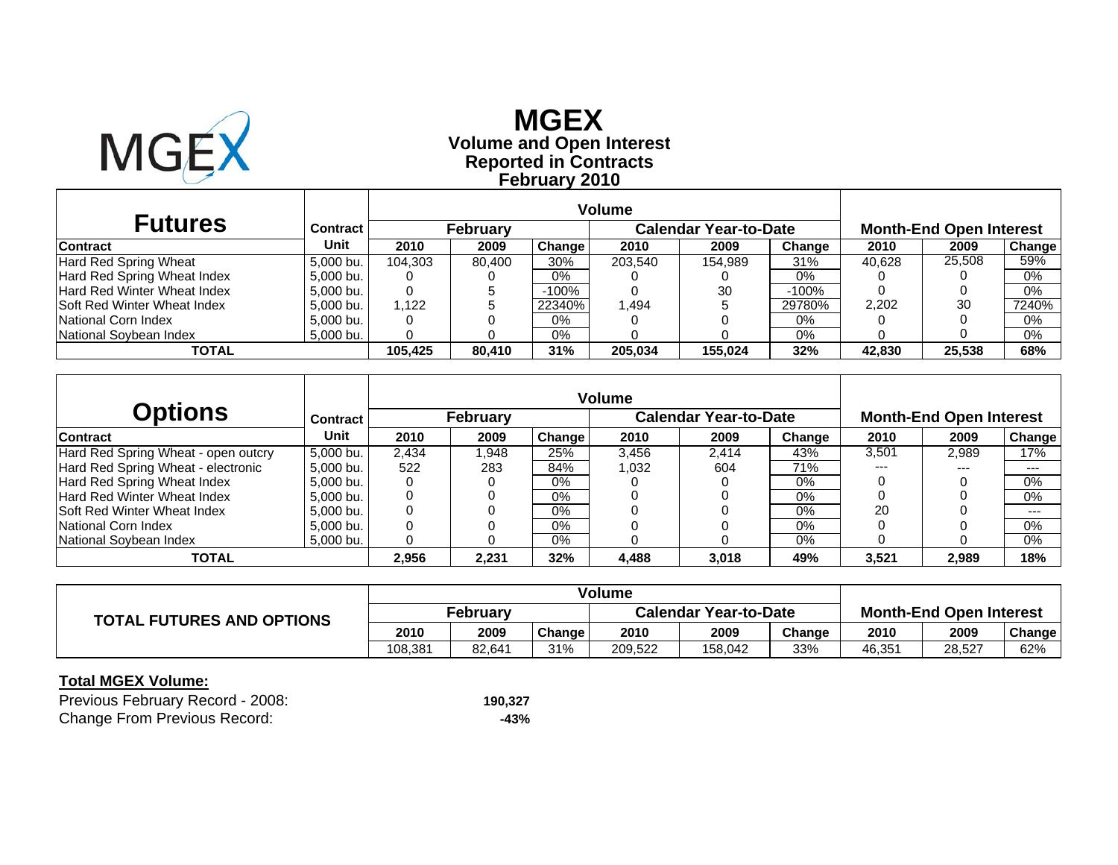

# **Reported in Contracts Volume and Open Interest MGEX February 2010**

|                                    |                 |         |                 |               | Volume  |                              |         |        |                                |        |
|------------------------------------|-----------------|---------|-----------------|---------------|---------|------------------------------|---------|--------|--------------------------------|--------|
| <b>Futures</b>                     | <b>Contract</b> |         | <b>February</b> |               |         | <b>Calendar Year-to-Date</b> |         |        | <b>Month-End Open Interest</b> |        |
| <b>Contract</b>                    | Unit            | 2010    | 2009            | <b>Change</b> | 2010    | 2009                         | Change  | 2010   | 2009                           | Change |
| Hard Red Spring Wheat              | 5.000 bu.       | 104.303 | 80.400          | 30%           | 203.540 | 154.989                      | 31%     | 40.628 | 25,508                         | 59%    |
| Hard Red Spring Wheat Index        | 5.000 bu.       |         |                 | 0%            |         |                              | 0%      |        |                                | 0%     |
| <b>Hard Red Winter Wheat Index</b> | 5.000 bu.       |         |                 | $-100%$       |         | 30                           | $-100%$ |        |                                | 0%     |
| <b>Soft Red Winter Wheat Index</b> | 5.000 bu.       | 1.122   |                 | 22340%        | 1.494   |                              | 29780%  | 2,202  | 30                             | 7240%  |
| National Corn Index                | 5.000 bu.       |         |                 | 0%            |         |                              | $0\%$   |        |                                | 0%     |
| National Sovbean Index             | 5,000 bu.       |         |                 | $0\%$         |         |                              | 0%      |        |                                | 0%     |
| TOTAL                              |                 | 105.425 | 80.410          | 31%           | 205.034 | 155.024                      | 32%     | 42.830 | 25,538                         | 68%    |

|                                     |                 |       |                 |               | <b>Volume</b> |                              |        |       |                                |        |
|-------------------------------------|-----------------|-------|-----------------|---------------|---------------|------------------------------|--------|-------|--------------------------------|--------|
| <b>Options</b>                      | <b>Contract</b> |       | <b>February</b> |               |               | <b>Calendar Year-to-Date</b> |        |       | <b>Month-End Open Interest</b> |        |
| <b>Contract</b>                     | Unit            | 2010  | 2009            | <b>Change</b> | 2010          | 2009                         | Change | 2010  | 2009                           | Change |
| Hard Red Spring Wheat - open outcry | 5.000 bu.       | 2.434 | .948            | 25%           | 3,456         | 2.414                        | 43%    | 3.501 | 2,989                          | 17%    |
| Hard Red Spring Wheat - electronic  | 5.000 bu.       | 522   | 283             | 84%           | 1,032         | 604                          | 71%    | ---   | $- - -$                        | $--$   |
| Hard Red Spring Wheat Index         | 5.000 bu.       |       |                 | 0%            |               |                              | $0\%$  |       |                                | 0%     |
| Hard Red Winter Wheat Index         | 5.000 bu.       |       |                 | 0%            |               |                              | 0%     |       |                                | 0%     |
| <b>ISoft Red Winter Wheat Index</b> | 5.000 bu.       |       |                 | 0%            |               |                              | $0\%$  | 20    |                                | $---$  |
| National Corn Index                 | 5.000 bu.       |       |                 | $0\%$         |               |                              | $0\%$  |       |                                | $0\%$  |
| National Sovbean Index              | 5,000 bu.       |       |                 | 0%            |               |                              | 0%     |       |                                | 0%     |
| TOTAL                               |                 | 2,956 | 2.231           | 32%           | 4,488         | 3,018                        | 49%    | 3,521 | 2,989                          | 18%    |

|                                  | Volume   |        |        |                              |         |        |                                |        |        |
|----------------------------------|----------|--------|--------|------------------------------|---------|--------|--------------------------------|--------|--------|
| <b>TOTAL FUTURES AND OPTIONS</b> | Februarv |        |        | <b>Calendar Year-to-Date</b> |         |        | <b>Month-End Open Interest</b> |        |        |
|                                  | 2010     | 2009   | Change | 2010                         | 2009    | Change | 2010                           | 2009   | Change |
|                                  | 108.381  | 82.641 | 31%    | 209.522                      | 158.042 | 33%    | 46.351                         | 28,527 | 62%    |

| Previous February Record - 2008:    | 190.327 |
|-------------------------------------|---------|
| <b>Change From Previous Record:</b> | -43%    |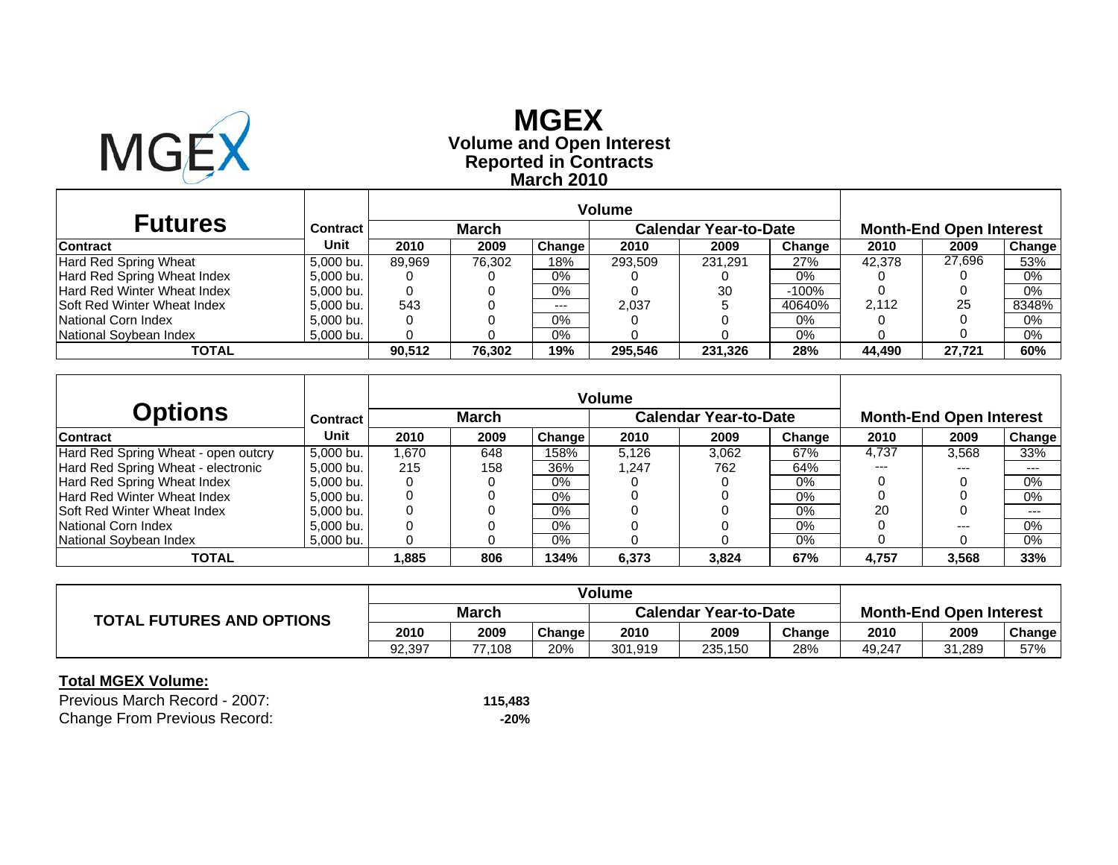

## **Reported in Contracts Volume and Open Interest MGEX March 2010**

| <b>Futures</b>                     | <b>Contract</b> |        | <b>March</b> |        |         | <b>Calendar Year-to-Date</b> |         |        | <b>Month-End Open Interest</b> |        |
|------------------------------------|-----------------|--------|--------------|--------|---------|------------------------------|---------|--------|--------------------------------|--------|
| Contract                           | Unit            | 2010   | 2009         | Change | 2010    | 2009                         | Change  | 2010   | 2009                           | Change |
| Hard Red Spring Wheat              | 5.000 bu.       | 89.969 | 76,302       | 18%    | 293,509 | 231.291                      | 27%     | 42.378 | 27,696                         | 53%    |
| Hard Red Spring Wheat Index        | 5.000 bu.       |        |              | $0\%$  |         |                              | 0%      |        |                                | 0%     |
| <b>Hard Red Winter Wheat Index</b> | 5,000 bu.       |        |              | $0\%$  |         | 30                           | $-100%$ |        |                                | 0%     |
| <b>Soft Red Winter Wheat Index</b> | 5.000 bu.       | 543    |              | $---$  | 2.037   |                              | 40640%  | 2.112  | 25                             | 8348%  |
| National Corn Index                | 5.000 bu.       |        |              | 0%     |         |                              | 0%      |        |                                | 0%     |
| National Sovbean Index             | 5,000 bu.       |        |              | $0\%$  |         |                              | 0%      |        |                                | $0\%$  |
| TOTAL                              |                 | 90.512 | 76.302       | 19%    | 295,546 | 231,326                      | 28%     | 44.490 | 27.721                         | 60%    |

|                                     |           |       |              |        | <b>Volume</b> |                              |        |       |                                |               |
|-------------------------------------|-----------|-------|--------------|--------|---------------|------------------------------|--------|-------|--------------------------------|---------------|
| <b>Options</b>                      | Contract  |       | <b>March</b> |        |               | <b>Calendar Year-to-Date</b> |        |       | <b>Month-End Open Interest</b> |               |
| Contract                            | Unit      | 2010  | 2009         | Change | 2010          | 2009                         | Change | 2010  | 2009                           | <b>Change</b> |
| Hard Red Spring Wheat - open outcry | 5.000 bu. | 1.670 | 648          | 158%   | 5.126         | 3.062                        | 67%    | 4.737 | 3,568                          | 33%           |
| Hard Red Spring Wheat - electronic  | 5.000 bu. | 215   | 158          | 36%    | 1.247         | 762                          | 64%    | ---   | ---                            | $--$          |
| Hard Red Spring Wheat Index         | 5,000 bu. |       |              | $0\%$  |               |                              | $0\%$  |       |                                | 0%            |
| Hard Red Winter Wheat Index         | 5.000 bu. |       |              | 0%     |               |                              | 0%     |       |                                | 0%            |
| <b>Soft Red Winter Wheat Index</b>  | 5,000 bu. |       |              | $0\%$  |               |                              | $0\%$  | 20    |                                | $---$         |
| National Corn Index                 | 5.000 bu. |       |              | $0\%$  |               |                              | $0\%$  |       | $---$                          | 0%            |
| National Sovbean Index              | 5.000 bu. |       |              | 0%     |               |                              | 0%     |       |                                | 0%            |
| <b>TOTAL</b>                        |           | 885.ا | 806          | 134%   | 6,373         | 3,824                        | 67%    | 4,757 | 3,568                          | 33%           |

|                                  | Volume       |        |        |                              |         |        |                                |        |               |
|----------------------------------|--------------|--------|--------|------------------------------|---------|--------|--------------------------------|--------|---------------|
| <b>TOTAL FUTURES AND OPTIONS</b> | <b>March</b> |        |        | <b>Calendar Year-to-Date</b> |         |        | <b>Month-End Open Interest</b> |        |               |
|                                  | 2010         | 2009   | Change | 2010                         | 2009    | Change | 2010                           | 2009   | <b>Change</b> |
|                                  | 92.397       | 77.108 | 20%    | 301.919                      | 235,150 | 28%    | 49,247                         | 31,289 | 57%           |

| Previous March Record - 2007:       | 115.483 |
|-------------------------------------|---------|
| <b>Change From Previous Record:</b> | $-20%$  |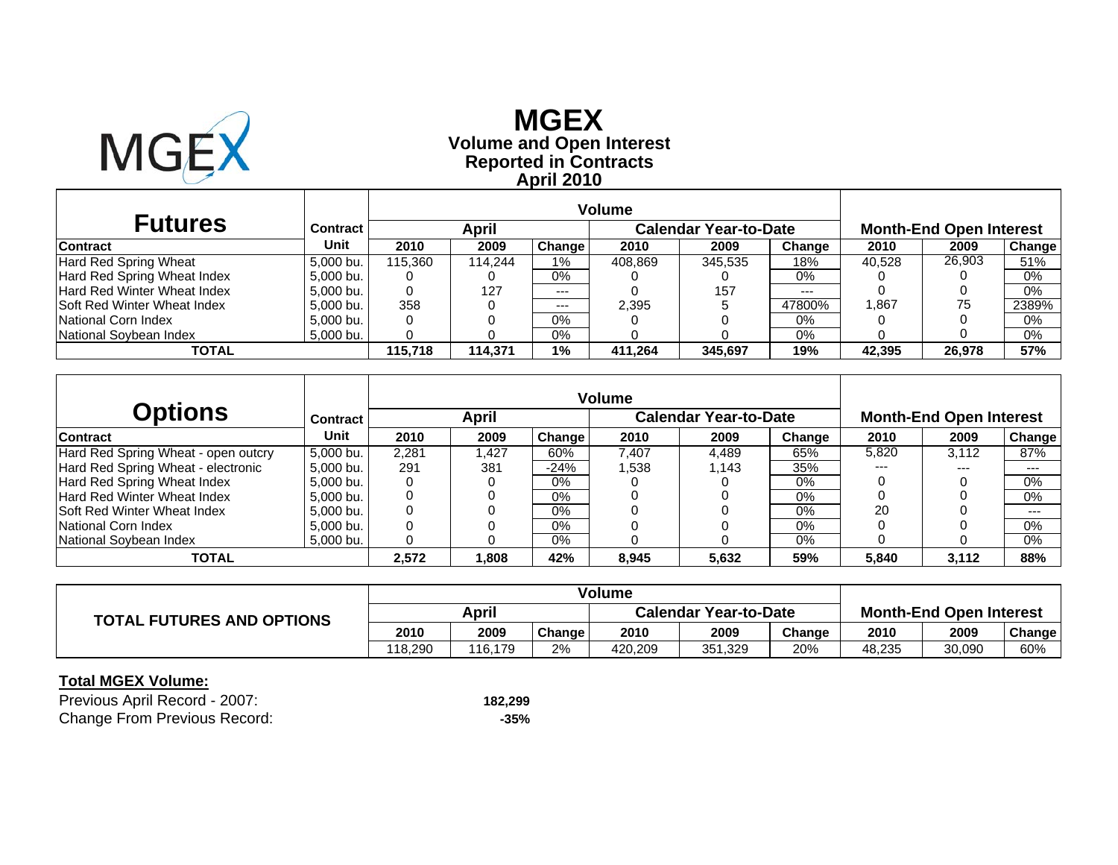

# **Reported in Contracts Volume and Open Interest MGEX April 2010**

|                                     |           |         | Volume  |         |         |                              |        |        |                                |        |
|-------------------------------------|-----------|---------|---------|---------|---------|------------------------------|--------|--------|--------------------------------|--------|
| <b>Futures</b>                      | Contract  |         | April   |         |         | <b>Calendar Year-to-Date</b> |        |        | <b>Month-End Open Interest</b> |        |
| <b>Contract</b>                     | Unit      | 2010    | 2009    | Change  | 2010    | 2009                         | Change | 2010   | 2009                           | Change |
| Hard Red Spring Wheat               | 5.000 bu. | 115.360 | 114.244 | 1%      | 408.869 | 345.535                      | 18%    | 40.528 | 26,903                         | 51%    |
| Hard Red Spring Wheat Index         | 5.000 bu. | 0       |         | 0%      |         |                              | 0%     |        |                                | 0%     |
| Hard Red Winter Wheat Index         | 5.000 bu. | 0       | 127     | $---$   |         | 157                          | $---$  |        |                                | 0%     |
| <b>ISoft Red Winter Wheat Index</b> | 5.000 bu. | 358     |         | $- - -$ | 2.395   |                              | 47800% | 1,867  | 75                             | 2389%  |
| National Corn Index                 | 5.000 bu. | 0       |         | 0%      |         |                              | 0%     |        |                                | 0%     |
| National Soybean Index              | 5,000 bu. |         |         | 0%      |         |                              | 0%     |        |                                | 0%     |
| TOTAL                               |           | 115.718 | 114.371 | $1\%$   | 411.264 | 345,697                      | 19%    | 42,395 | 26,978                         | 57%    |

|                                     |           |       |       |        | <b>Volume</b> |                              |        |       |                                |               |
|-------------------------------------|-----------|-------|-------|--------|---------------|------------------------------|--------|-------|--------------------------------|---------------|
| <b>Options</b>                      | Contract  |       | April |        |               | <b>Calendar Year-to-Date</b> |        |       | <b>Month-End Open Interest</b> |               |
| Contract                            | Unit      | 2010  | 2009  | Change | 2010          | 2009                         | Change | 2010  | 2009                           | <b>Change</b> |
| Hard Red Spring Wheat - open outcry | 5.000 bu. | 2.281 | .427  | 60%    | 7.407         | 4,489                        | 65%    | 5,820 | 3.112                          | 87%           |
| Hard Red Spring Wheat - electronic  | 5,000 bu. | 291   | 381   | $-24%$ | .538          | l.143                        | 35%    | ---   | ---                            | $--$          |
| Hard Red Spring Wheat Index         | 5,000 bu. |       |       | $0\%$  |               |                              | $0\%$  |       |                                | 0%            |
| Hard Red Winter Wheat Index         | 5,000 bu. |       |       | $0\%$  |               |                              | 0%     |       |                                | 0%            |
| <b>Soft Red Winter Wheat Index</b>  | 5,000 bu. |       |       | $0\%$  |               |                              | $0\%$  | 20    |                                | $---$         |
| National Corn Index                 | 5.000 bu. |       |       | $0\%$  |               |                              | $0\%$  |       |                                | 0%            |
| National Sovbean Index              | 5.000 bu. |       |       | 0%     |               |                              | 0%     |       |                                | $0\%$         |
| <b>TOTAL</b>                        |           | 2,572 | 808,  | 42%    | 8,945         | 5,632                        | 59%    | 5,840 | 3,112                          | 88%           |

|                                  | <b>Volume</b> |         |        |                              |         |        |                                |        |        |
|----------------------------------|---------------|---------|--------|------------------------------|---------|--------|--------------------------------|--------|--------|
| <b>TOTAL FUTURES AND OPTIONS</b> | April         |         |        | <b>Calendar Year-to-Date</b> |         |        | <b>Month-End Open Interest</b> |        |        |
|                                  | 2010          | 2009    | Change | 2010                         | 2009    | Change | 2010                           | 2009   | Change |
|                                  | 118.290       | 116.179 | 2%     | 420.209                      | 351,329 | 20%    | 48.235                         | 30,090 | 60%    |

| Previous April Record - 2007:       | 182.299 |
|-------------------------------------|---------|
| <b>Change From Previous Record:</b> | -35%    |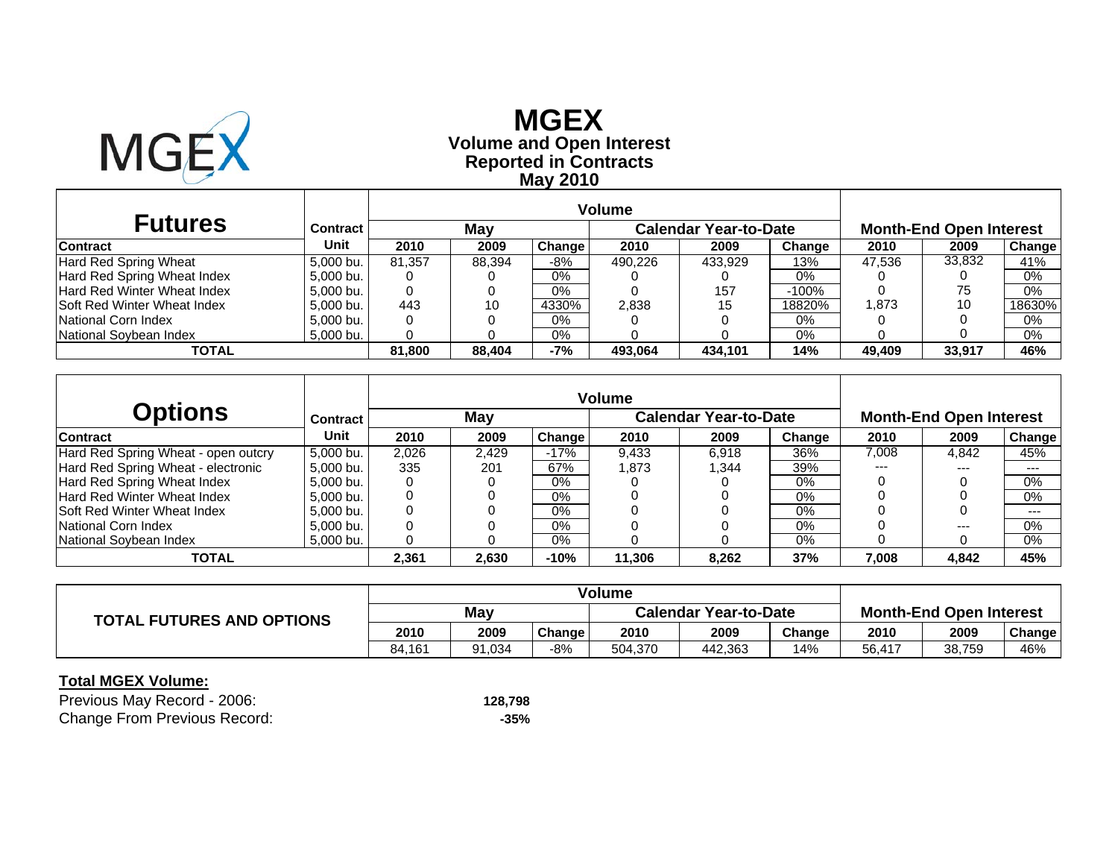

# **Reported in Contracts Volume and Open Interest MGEX May 2010**

| <b>Futures</b>               | <b>Contract</b> |        | May    |        |         | <b>Calendar Year-to-Date</b> |         |        | <b>Month-End Open Interest</b> |               |
|------------------------------|-----------------|--------|--------|--------|---------|------------------------------|---------|--------|--------------------------------|---------------|
| <b>Contract</b>              | Unit            | 2010   | 2009   | Change | 2010    | 2009                         | Change  | 2010   | 2009                           | <b>Change</b> |
| <b>Hard Red Spring Wheat</b> | 5.000 bu.       | 81.357 | 88.394 | $-8%$  | 490.226 | 433,929                      | 13%     | 47.536 | 33,832                         | 41%           |
| Hard Red Spring Wheat Index  | 5.000 bu.       |        |        | $0\%$  |         |                              | 0%      |        |                                | 0%            |
| Hard Red Winter Wheat Index  | 5,000 bu.       | 0      |        | $0\%$  |         | 157                          | $-100%$ |        | 75                             | $0\%$         |
| Soft Red Winter Wheat Index  | 5.000 bu.       | 443    | 10     | 4330%  | 2,838   | 15                           | 18820%  | 873. ا | 10                             | 18630%        |
| National Corn Index          | 5.000 bu.       |        |        | $0\%$  |         |                              | 0%      |        |                                | 0%            |
| National Soybean Index       | 5,000 bu.       |        |        | 0%     |         |                              | 0%      |        |                                | 0%            |
| TOTAL                        |                 | 81.800 | 88.404 | $-7%$  | 493.064 | 434.101                      | 14%     | 49.409 | 33,917                         | 46%           |

| <b>Options</b>                      | Contract  |       | May   |               |        | <b>Calendar Year-to-Date</b> |        |       | <b>Month-End Open Interest</b> |               |
|-------------------------------------|-----------|-------|-------|---------------|--------|------------------------------|--------|-------|--------------------------------|---------------|
| <b>Contract</b>                     | Unit      | 2010  | 2009  | <b>Change</b> | 2010   | 2009                         | Change | 2010  | 2009                           | <b>Change</b> |
| Hard Red Spring Wheat - open outcry | 5.000 bu. | 2,026 | 2.429 | $-17%$        | 9,433  | 6.918                        | 36%    | 7,008 | 4,842                          | 45%           |
| Hard Red Spring Wheat - electronic  | 5.000 bu. | 335   | 201   | 67%           | 1.873  | .344                         | 39%    | ---   | ---                            | $--$          |
| Hard Red Spring Wheat Index         | 5.000 bu. |       |       | $0\%$         |        |                              | $0\%$  |       |                                | 0%            |
| Hard Red Winter Wheat Index         | 5.000 bu. |       |       | 0%            |        |                              | 0%     |       |                                | $0\%$         |
| <b>Soft Red Winter Wheat Index</b>  | 5,000 bu. |       |       | $0\%$         |        |                              | $0\%$  |       |                                | $---$         |
| National Corn Index                 | 5.000 bu. |       |       | $0\%$         |        |                              | $0\%$  |       | $---$                          | 0%            |
| National Soybean Index              | 5,000 bu. |       |       | 0%            |        |                              | 0%     |       |                                | 0%            |
| TOTAL                               |           | 2,361 | 2,630 | $-10%$        | 11,306 | 8.262                        | 37%    | 7,008 | 4,842                          | 45%           |

|                                  | Volume |        |        |                              |         |        |                                |        |        |
|----------------------------------|--------|--------|--------|------------------------------|---------|--------|--------------------------------|--------|--------|
| <b>TOTAL FUTURES AND OPTIONS</b> | Mav    |        |        | <b>Calendar Year-to-Date</b> |         |        | <b>Month-End Open Interest</b> |        |        |
|                                  | 2010   | 2009   | Change | 2010                         | 2009    | Change | 2010                           | 2009   | Change |
|                                  | 84.161 | 91.034 | $-8%$  | 504.370                      | 442.363 | 14%    | 56,417                         | 38,759 | 46%    |

| Previous May Record - 2006:         | 128.798 |
|-------------------------------------|---------|
| <b>Change From Previous Record:</b> | -35%    |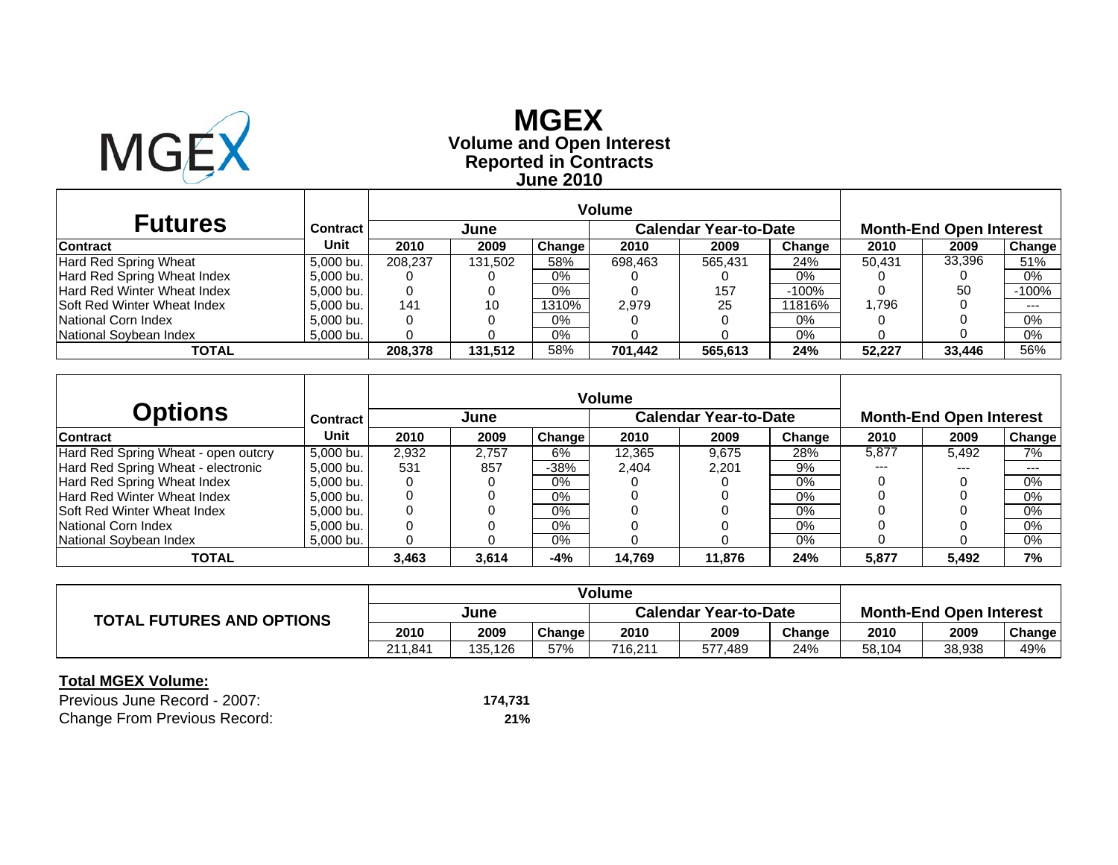

## **Reported in Contracts Volume and Open Interest MGEX June 2010**

| <b>Futures</b>                     | <b>Contract</b> |         | June    |          |         | <b>Calendar Year-to-Date</b> |         | <b>Month-End Open Interest</b> |        |               |
|------------------------------------|-----------------|---------|---------|----------|---------|------------------------------|---------|--------------------------------|--------|---------------|
| <b>Contract</b>                    | Unit            | 2010    | 2009    | Change   | 2010    | 2009                         | Change  | 2010                           | 2009   | <b>Change</b> |
| Hard Red Spring Wheat              | 5.000 bu.       | 208.237 | 131.502 | 58%      | 698.463 | 565.431                      | 24%     | 50.431                         | 33,396 | 51%           |
| Hard Red Spring Wheat Index        | 5.000 bu.       |         |         | $0\%$    |         |                              | 0%      |                                |        | 0%            |
| Hard Red Winter Wheat Index        | 5.000 bu.       | 0       |         | $0\%$    |         | 157                          | $-100%$ |                                | 50     | $-100%$       |
| <b>Soft Red Winter Wheat Index</b> | 5.000 bu.       | 141     | 10      | $1310\%$ | 2.979   | 25                           | 11816%  | .796،                          |        | $- - -$       |
| National Corn Index                | 5.000 bu.       | 0       |         | $0\%$    |         |                              | 0%      |                                |        | $0\%$         |
| National Soybean Index             | 5.000 bu.       |         |         | $0\%$    |         |                              | 0%      |                                |        | 0%            |
| <b>TOTAL</b>                       |                 | 208,378 | 131.512 | 58%      | 701.442 | 565,613                      | 24%     | 52.227                         | 33,446 | 56%           |

|                                     |           |       |       |        | <b>Volume</b> |                              |        |       |                                |               |
|-------------------------------------|-----------|-------|-------|--------|---------------|------------------------------|--------|-------|--------------------------------|---------------|
| <b>Options</b>                      | Contract  |       | June  |        |               | <b>Calendar Year-to-Date</b> |        |       | <b>Month-End Open Interest</b> |               |
| <b>Contract</b>                     | Unit      | 2010  | 2009  | Change | 2010          | 2009                         | Change | 2010  | 2009                           | <b>Change</b> |
| Hard Red Spring Wheat - open outcry | 5.000 bu. | 2,932 | 2.757 | 6%     | 12.365        | 9.675                        | 28%    | 5.877 | 5.492                          | 7%            |
| Hard Red Spring Wheat - electronic  | 5,000 bu. | 531   | 857   | $-38%$ | 2.404         | 2.201                        | 9%     | ---   | ---                            | $--$          |
| Hard Red Spring Wheat Index         | 5,000 bu. |       |       | $0\%$  |               |                              | $0\%$  |       |                                | 0%            |
| Hard Red Winter Wheat Index         | 5.000 bu. |       |       | 0%     |               |                              | 0%     |       |                                | 0%            |
| <b>Soft Red Winter Wheat Index</b>  | 5,000 bu. |       |       | $0\%$  |               |                              | $0\%$  |       |                                | $0\%$         |
| National Corn Index                 | 5.000 bu. |       |       | $0\%$  |               |                              | $0\%$  |       |                                | 0%            |
| National Sovbean Index              | 5.000 bu. |       |       | 0%     |               |                              | 0%     |       |                                | $0\%$         |
| <b>TOTAL</b>                        |           | 3,463 | 3,614 | -4%    | 14,769        | 11,876                       | 24%    | 5,877 | 5,492                          | 7%            |

|                                  | Volume  |         |        |                              |         |        |                                |        |        |
|----------------------------------|---------|---------|--------|------------------------------|---------|--------|--------------------------------|--------|--------|
| <b>TOTAL FUTURES AND OPTIONS</b> | June    |         |        | <b>Calendar Year-to-Date</b> |         |        | <b>Month-End Open Interest</b> |        |        |
|                                  | 2010    | 2009    | Change | 2010                         | 2009    | Change | 2010                           | 2009   | Change |
|                                  | 211.841 | 135.126 | 57%    | 716.211                      | 577.489 | 24%    | 58,104                         | 38,938 | 49%    |

| Previous June Record - 2007:        | 174.731 |
|-------------------------------------|---------|
| <b>Change From Previous Record:</b> | 21%     |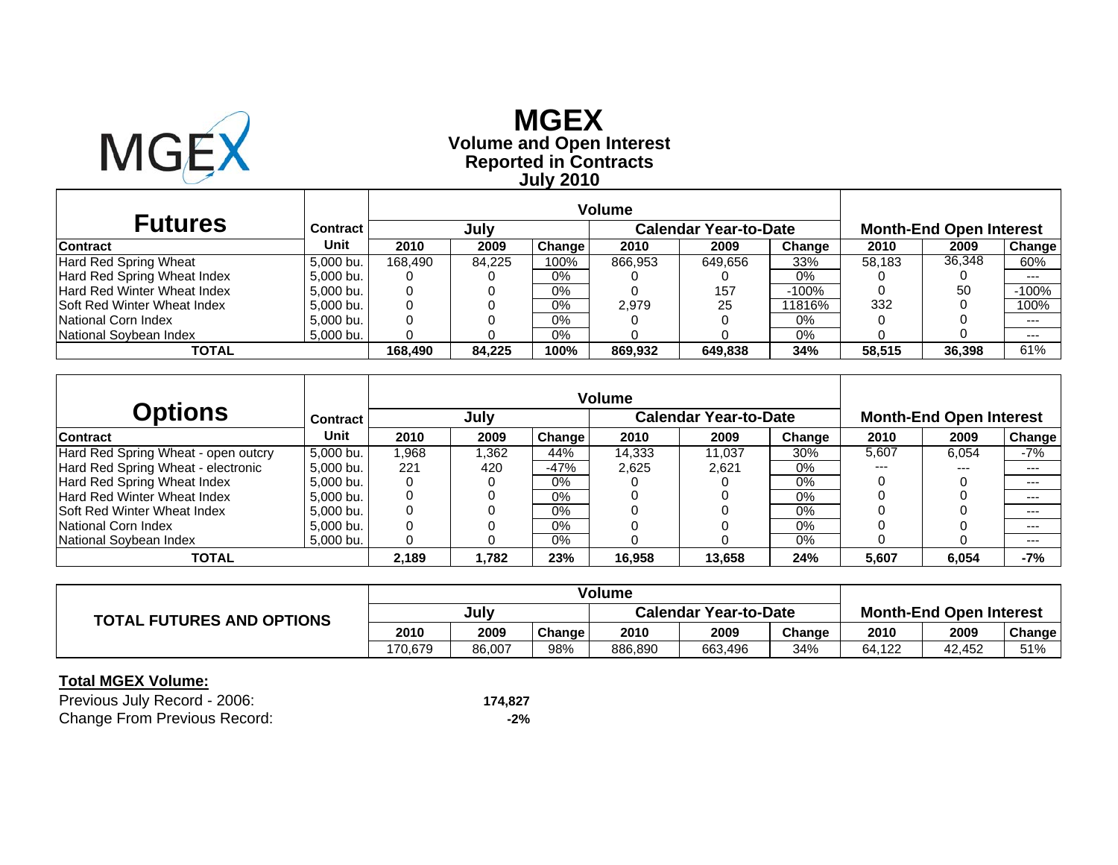

# **Reported in Contracts Volume and Open Interest MGEX July 2010**

|                                     |           | Volume  |        |        |                              |         |         |                                |        |         |
|-------------------------------------|-----------|---------|--------|--------|------------------------------|---------|---------|--------------------------------|--------|---------|
| <b>Futures</b>                      | Contract  |         | July   |        | <b>Calendar Year-to-Date</b> |         |         | <b>Month-End Open Interest</b> |        |         |
| <b>Contract</b>                     | Unit      | 2010    | 2009   | Change | 2010                         | 2009    | Change  | 2010                           | 2009   | Change  |
| <b>Hard Red Spring Wheat</b>        | 5.000 bu. | 168.490 | 84.225 | 100%   | 866,953                      | 649,656 | 33%     | 58.183                         | 36,348 | 60%     |
| Hard Red Spring Wheat Index         | 5.000 bu. |         |        | 0%     |                              |         | 0%      |                                |        | $--$    |
| Hard Red Winter Wheat Index         | 5.000 bu. |         |        | 0%     |                              | 157     | $-100%$ |                                | 50     | $-100%$ |
| <b>ISoft Red Winter Wheat Index</b> | 5.000 bu. |         |        | $0\%$  | 2.979                        | 25      | 11816%  | 332                            |        | 100%    |
| National Corn Index                 | 5.000 bu. |         |        | 0%     |                              |         | 0%      |                                |        | $--$    |
| National Sovbean Index              | 5,000 bu. |         |        | 0%     |                              |         | 0%      |                                |        | $--$    |
| TOTAL                               |           | 168.490 | 84.225 | 100%   | 869.932                      | 649.838 | 34%     | 58,515                         | 36,398 | 61%     |

|                                     |           |       |      |               | <b>Volume</b> |                              |        |       |                                |        |
|-------------------------------------|-----------|-------|------|---------------|---------------|------------------------------|--------|-------|--------------------------------|--------|
| <b>Options</b>                      | Contract  |       | July |               |               | <b>Calendar Year-to-Date</b> |        |       | <b>Month-End Open Interest</b> |        |
| <b>Contract</b>                     | Unit      | 2010  | 2009 | <b>Change</b> | 2010          | 2009                         | Change | 2010  | 2009                           | Change |
| Hard Red Spring Wheat - open outcry | 5.000 bu. | 1.968 | .362 | 44%           | 14,333        | 11.037                       | 30%    | 5,607 | 6.054                          | -7%    |
| Hard Red Spring Wheat - electronic  | 5,000 bu. | 221   | 420  | $-47%$        | 2.625         | 2.621                        | 0%     | ---   | $---$                          | $---$  |
| Hard Red Spring Wheat Index         | 5,000 bu. |       |      | $0\%$         |               |                              | $0\%$  |       |                                | $--$   |
| Hard Red Winter Wheat Index         | 5,000 bu. |       |      | 0%            |               |                              | 0%     |       |                                | $-- -$ |
| <b>Soft Red Winter Wheat Index</b>  | 5.000 bu. |       |      | 0%            |               |                              | $0\%$  |       |                                | $-- -$ |
| National Corn Index                 | 5.000 bu. |       |      | 0%            |               |                              | $0\%$  |       |                                | $-- -$ |
| National Soybean Index              | 5,000 bu. |       |      | 0%            |               |                              | 0%     |       |                                | $--$   |
| <b>TOTAL</b>                        |           | 2,189 | .782 | 23%           | 16,958        | 13.658                       | 24%    | 5,607 | 6,054                          | -7%    |

|                                  | <b>Volume</b> |        |        |                              |         |        |                                |        |        |
|----------------------------------|---------------|--------|--------|------------------------------|---------|--------|--------------------------------|--------|--------|
| <b>TOTAL FUTURES AND OPTIONS</b> | July          |        |        | <b>Calendar Year-to-Date</b> |         |        | <b>Month-End Open Interest</b> |        |        |
|                                  | 2010          | 2009   | Change | 2010                         | 2009    | Change | 2010                           | 2009   | Change |
|                                  | 170.679       | 86.007 | 98%    | 886,890                      | 663.496 | 34%    | 64.122                         | 42.452 | 51%    |

| Previous July Record - 2006:        | 174.827 |
|-------------------------------------|---------|
| <b>Change From Previous Record:</b> | -2%     |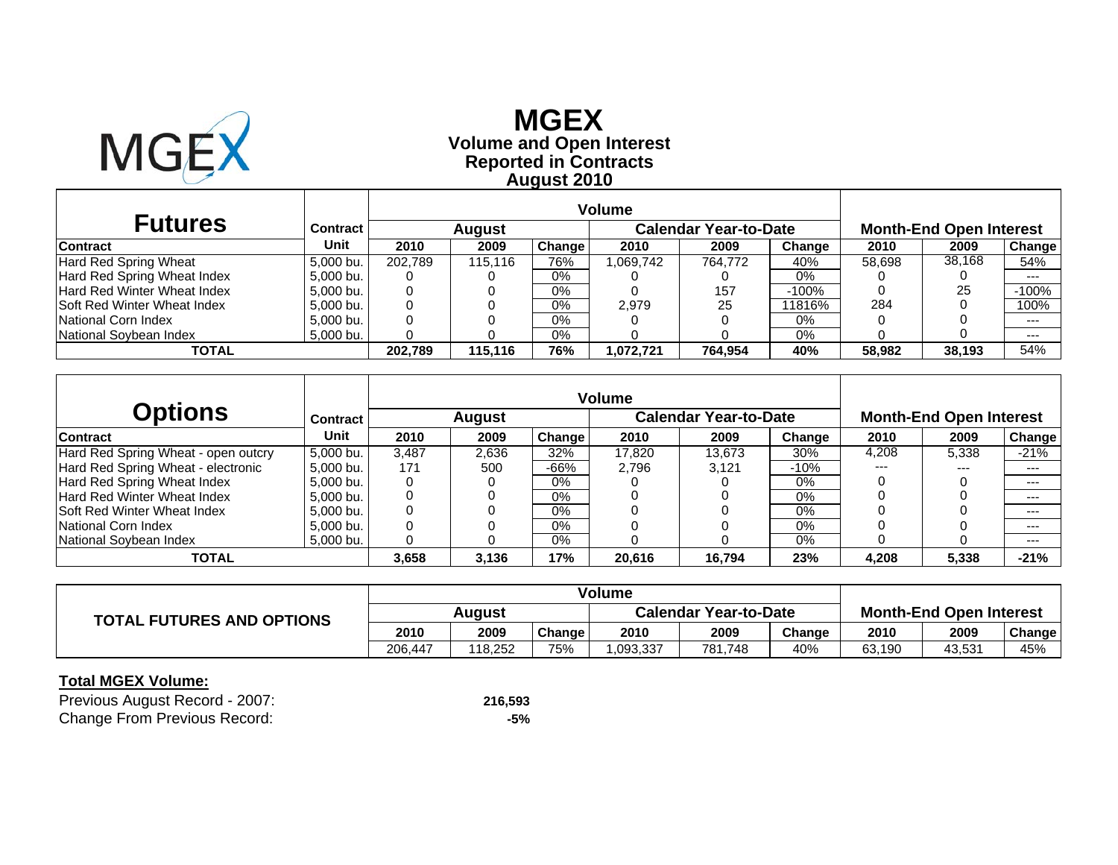

# **Reported in Contracts Volume and Open Interest MGEX August 2010**

|                                     |                 | <b>Volume</b> |               |        |           |                       |         |        |                                |               |
|-------------------------------------|-----------------|---------------|---------------|--------|-----------|-----------------------|---------|--------|--------------------------------|---------------|
| <b>Futures</b>                      | <b>Contract</b> |               | <b>August</b> |        |           | Calendar Year-to-Date |         |        | <b>Month-End Open Interest</b> |               |
| <b>Contract</b>                     | Unit            | 2010          | 2009          | Change | 2010      | 2009                  | Change  | 2010   | 2009                           | <b>Change</b> |
| Hard Red Spring Wheat               | 5.000 bu.       | 202.789       | 115.116       | 76%    | .069,742  | 764.772               | 40%     | 58,698 | 38.168                         | 54%           |
| Hard Red Spring Wheat Index         | 5.000 bu.       |               |               | $0\%$  |           |                       | 0%      |        |                                | $-- -$        |
| Hard Red Winter Wheat Index         | 5,000 bu.       | 0             |               | $0\%$  |           | 157                   | $-100%$ |        | 25                             | $-100%$       |
| <b>ISoft Red Winter Wheat Index</b> | 5,000 bu.       |               |               | $0\%$  | 2.979     | 25                    | 11816%  | 284    |                                | 100%          |
| National Corn Index                 | 5.000 bu.       |               |               | $0\%$  |           |                       | 0%      |        |                                | $---$         |
| National Soybean Index              | 5,000 bu.       |               |               | $0\%$  |           |                       | $0\%$   |        |                                | $---$         |
| TOTAL                               |                 | 202,789       | 115.116       | 76%    | 1,072,721 | 764,954               | 40%     | 58.982 | 38,193                         | 54%           |

|                                     |           |       |               |               | <b>Volume</b> |                              |        |       |                                |        |
|-------------------------------------|-----------|-------|---------------|---------------|---------------|------------------------------|--------|-------|--------------------------------|--------|
| <b>Options</b>                      | Contract  |       | <b>August</b> |               |               | <b>Calendar Year-to-Date</b> |        |       | <b>Month-End Open Interest</b> |        |
| <b>Contract</b>                     | Unit      | 2010  | 2009          | <b>Change</b> | 2010          | 2009                         | Change | 2010  | 2009                           | Change |
| Hard Red Spring Wheat - open outcry | 5.000 bu. | 3.487 | 2,636         | 32%           | 17.820        | 13.673                       | 30%    | 4,208 | 5,338                          | $-21%$ |
| Hard Red Spring Wheat - electronic  | 5,000 bu. | 171   | 500           | -66%          | 2.796         | 3.121                        | $-10%$ | ---   | $---$                          | $---$  |
| Hard Red Spring Wheat Index         | 5.000 bu. |       |               | 0%            |               |                              | $0\%$  |       |                                | $--$   |
| Hard Red Winter Wheat Index         | 5,000 bu. |       |               | 0%            |               |                              | 0%     |       |                                | $-- -$ |
| <b>Soft Red Winter Wheat Index</b>  | 5.000 bu. |       |               | 0%            |               |                              | $0\%$  |       |                                | $-- -$ |
| National Corn Index                 | 5.000 bu. |       |               | 0%            |               |                              | $0\%$  |       |                                | $-- -$ |
| National Soybean Index              | 5,000 bu. |       |               | 0%            |               |                              | 0%     |       |                                | $--$   |
| <b>TOTAL</b>                        |           | 3,658 | 3,136         | 17%           | 20,616        | 16.794                       | 23%    | 4,208 | 5,338                          | $-21%$ |

|                                  | Volume  |         |        |                              |         |        |                                |        |        |
|----------------------------------|---------|---------|--------|------------------------------|---------|--------|--------------------------------|--------|--------|
| <b>TOTAL FUTURES AND OPTIONS</b> | Auaust  |         |        | <b>Calendar Year-to-Date</b> |         |        | <b>Month-End Open Interest</b> |        |        |
|                                  | 2010    | 2009    | Change | 2010                         | 2009    | Change | 2010                           | 2009   | Change |
|                                  | 206.447 | 118.252 | 75%    | .093.337                     | 781,748 | 40%    | 63,190                         | 43,531 | 45%    |

| Previous August Record - 2007:      | 216,593 |
|-------------------------------------|---------|
| <b>Change From Previous Record:</b> | -5%     |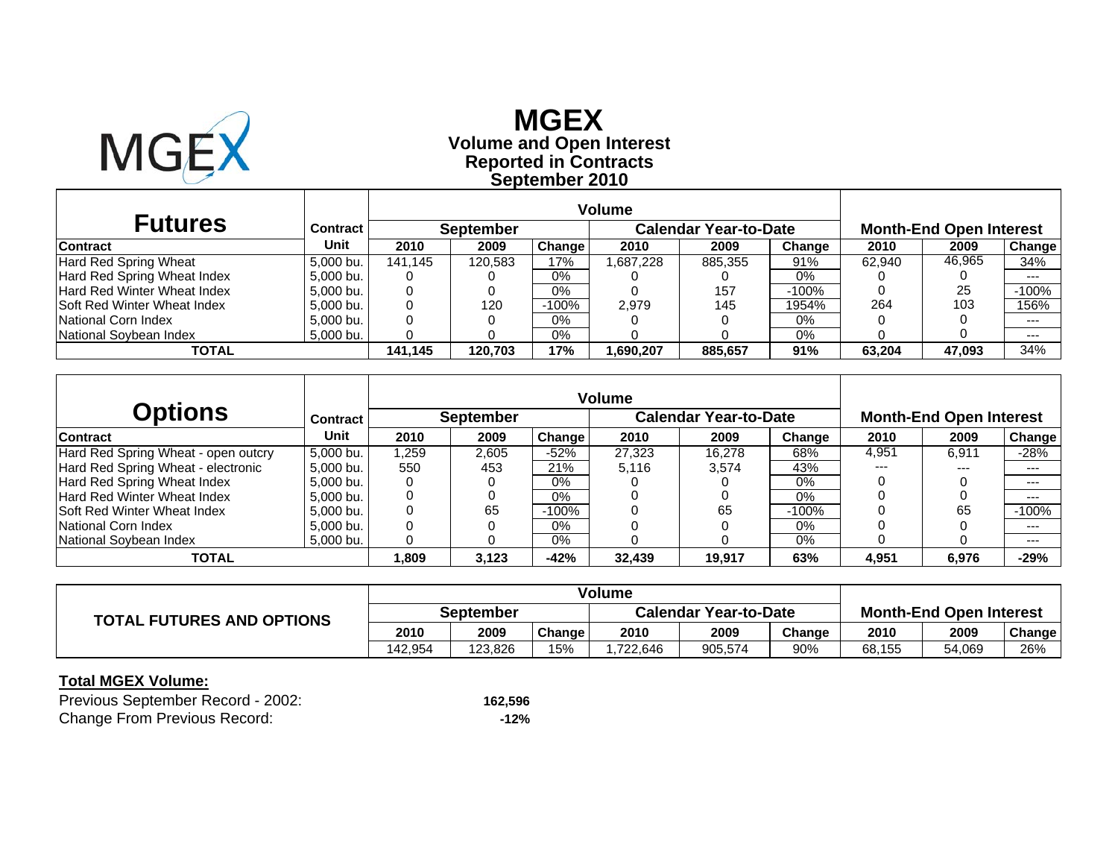

## **Reported in Contracts Volume and Open Interest MGEXSeptember 2010**

| <b>Futures</b>                     | Contract  |         | <b>September</b> |         |          | <b>Calendar Year-to-Date</b> |         | <b>Month-End Open Interest</b> |        |               |
|------------------------------------|-----------|---------|------------------|---------|----------|------------------------------|---------|--------------------------------|--------|---------------|
| <b>Contract</b>                    | Unit      | 2010    | 2009             | Change  | 2010     | 2009                         | Change  | 2010                           | 2009   | <b>Change</b> |
| Hard Red Spring Wheat              | 5.000 bu. | 141.145 | 120.583          | 17%     | .687.228 | 885.355                      | 91%     | 62.940                         | 46,965 | 34%           |
| Hard Red Spring Wheat Index        | 5.000 bu. |         |                  | $0\%$   |          |                              | 0%      |                                |        | $---$         |
| Hard Red Winter Wheat Index        | 5.000 bu. | 0       |                  | $0\%$   |          | 157                          | $-100%$ |                                | 25     | $-100%$       |
| <b>Soft Red Winter Wheat Index</b> | 5.000 bu. |         | 120              | $-100%$ | 2.979    | 145                          | 1954%   | 264                            | 103    | 156%          |
| National Corn Index                | 5.000 bu. |         |                  | $0\%$   |          |                              | 0%      |                                |        | $--$          |
| National Soybean Index             | 5.000 bu. |         |                  | $0\%$   |          |                              | 0%      |                                |        | $--$          |
| <b>TOTAL</b>                       |           | 141.145 | 120.703          | 17%     | .690.207 | 885,657                      | 91%     | 63.204                         | 47,093 | 34%           |

|                                     |                 |        |                  |         | <b>Volume</b> |                              |         |       |                                |         |
|-------------------------------------|-----------------|--------|------------------|---------|---------------|------------------------------|---------|-------|--------------------------------|---------|
| <b>Options</b>                      | <b>Contract</b> |        | <b>September</b> |         |               | <b>Calendar Year-to-Date</b> |         |       | <b>Month-End Open Interest</b> |         |
| Contract                            | Unit            | 2010   | 2009             | Change  | 2010          | 2009                         | Change  | 2010  | 2009                           | Change  |
| Hard Red Spring Wheat - open outcry | 5.000 bu.       | l.259  | 2,605            | $-52\%$ | 27,323        | 16.278                       | 68%     | 4,951 | 6.911                          | $-28%$  |
| Hard Red Spring Wheat - electronic  | 5.000 bu.       | 550    | 453              | 21%     | 5.116         | 3.574                        | 43%     | ---   | $- - -$                        | $-- -$  |
| Hard Red Spring Wheat Index         | 5,000 bu.       |        |                  | 0%      |               |                              | 0%      |       |                                | $---$   |
| Hard Red Winter Wheat Index         | 5.000 bu.       |        |                  | 0%      |               |                              | 0%      |       |                                | $---$   |
| <b>Soft Red Winter Wheat Index</b>  | 5,000 bu.       |        | 65               | -100%   |               | 65                           | $-100%$ |       | 65                             | $-100%$ |
| National Corn Index                 | 5.000 bu.       |        |                  | 0%      |               |                              | 0%      |       |                                | $---$   |
| National Sovbean Index              | 5.000 bu.       |        |                  | $0\%$   |               |                              | 0%      |       |                                | $--$    |
| <b>TOTAL</b>                        |                 | 809. ا | 3,123            | $-42%$  | 32,439        | 19.917                       | 63%     | 4,951 | 6,976                          | $-29%$  |

|                                  | Volume    |         |        |                              |         |        |                                |        |        |
|----------------------------------|-----------|---------|--------|------------------------------|---------|--------|--------------------------------|--------|--------|
| <b>TOTAL FUTURES AND OPTIONS</b> | September |         |        | <b>Calendar Year-to-Date</b> |         |        | <b>Month-End Open Interest</b> |        |        |
|                                  | 2010      | 2009    | Change | 2010                         | 2009    | Change | 2010                           | 2009   | Change |
|                                  | 142.954   | 123.826 | 15%    | .722.646                     | 905.574 | 90%    | 68,155                         | 54,069 | 26%    |

| Previous September Record - 2002:   | 162,596 |
|-------------------------------------|---------|
| <b>Change From Previous Record:</b> | $-12%$  |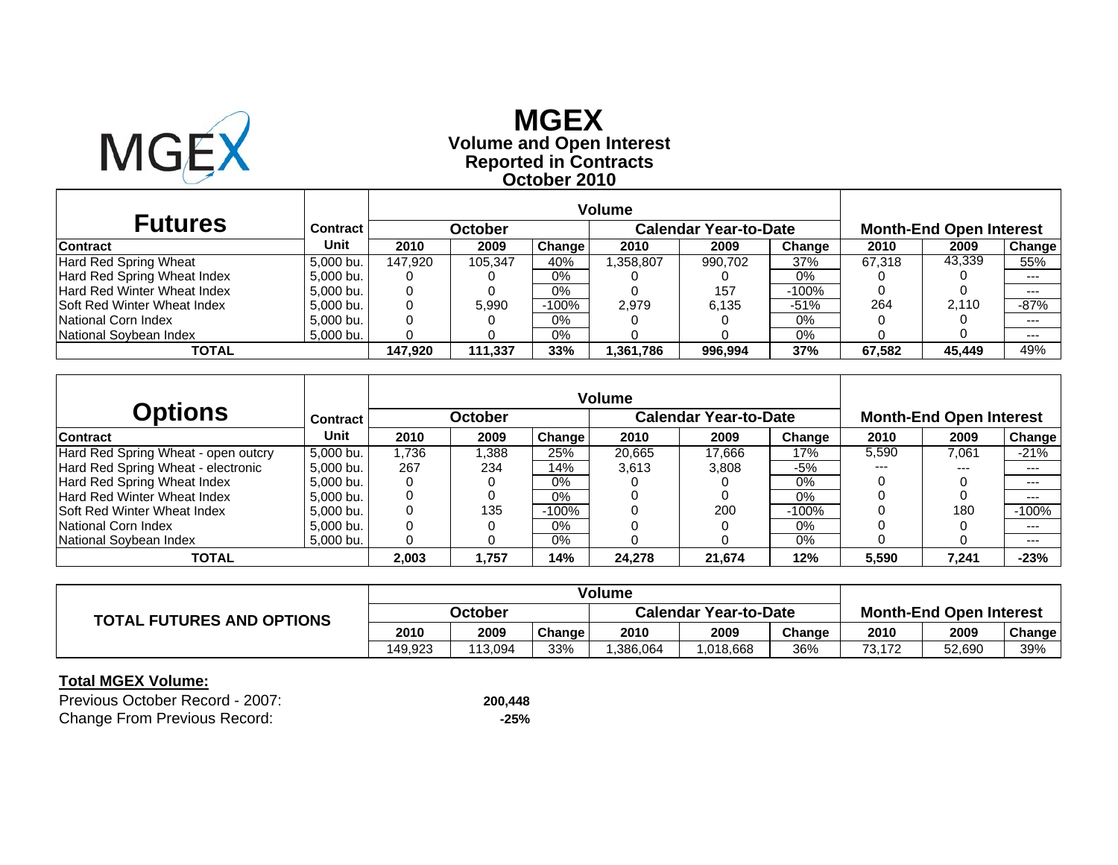

## **Reported in Contracts Volume and Open Interest MGEXOctober 2010**

| <b>Futures</b>                     | <b>Contract</b> |         | October |         |           | <b>Calendar Year-to-Date</b> |         |        | <b>Month-End Open Interest</b> |        |
|------------------------------------|-----------------|---------|---------|---------|-----------|------------------------------|---------|--------|--------------------------------|--------|
| <b>Contract</b>                    | Unit            | 2010    | 2009    | Change  | 2010      | 2009                         | Change  | 2010   | 2009                           | Change |
| Hard Red Spring Wheat              | 5.000 bu.       | 147.920 | 105.347 | 40%     | .358.807  | 990.702                      | 37%     | 67.318 | 43,339                         | 55%    |
| Hard Red Spring Wheat Index        | 5.000 bu.       |         |         | $0\%$   |           |                              | 0%      |        |                                | $---$  |
| <b>Hard Red Winter Wheat Index</b> | 5.000 bu.       |         |         | $0\%$   |           | 157                          | $-100%$ |        |                                | $---$  |
| <b>Soft Red Winter Wheat Index</b> | 5,000 bu.       |         | 5.990   | $-100%$ | 2.979     | 6.135                        | $-51%$  | 264    | 2.110                          | $-87%$ |
| National Corn Index                | 5.000 bu.       |         |         | 0%      |           |                              | 0%      |        |                                | $--$   |
| National Sovbean Index             | 5,000 bu.       |         |         | 0%      |           |                              | 0%      |        |                                | $---$  |
| TOTAL                              |                 | 147.920 | 111.337 | 33%     | 361,786.ا | 996.994                      | 37%     | 67.582 | 45,449                         | 49%    |

|                                     |           |       |                |         | <b>Volume</b> |                              |          |       |                                |               |
|-------------------------------------|-----------|-------|----------------|---------|---------------|------------------------------|----------|-------|--------------------------------|---------------|
| <b>Options</b>                      | Contract  |       | <b>October</b> |         |               | <b>Calendar Year-to-Date</b> |          |       | <b>Month-End Open Interest</b> |               |
| Contract                            | Unit      | 2010  | 2009           | Change  | 2010          | 2009                         | Change   | 2010  | 2009                           | <b>Change</b> |
| Hard Red Spring Wheat - open outcry | 5.000 bu. | .736  | .388           | 25%     | 20,665        | 17.666                       | 17%      | 5,590 | 7,061                          | $-21%$        |
| Hard Red Spring Wheat - electronic  | 5.000 bu. | 267   | 234            | 14%     | 3.613         | 3.808                        | $-5%$    | ---   | $---$                          | $--$          |
| Hard Red Spring Wheat Index         | 5,000 bu. |       |                | 0%      |               |                              | $0\%$    |       |                                | $---$         |
| Hard Red Winter Wheat Index         | 5.000 bu. |       |                | 0%      |               |                              | 0%       |       |                                | $--$          |
| <b>Soft Red Winter Wheat Index</b>  | 5,000 bu. |       | 135            | $-100%$ |               | 200                          | $-100\%$ |       | 180                            | $-100%$       |
| National Corn Index                 | 5.000 bu. |       |                | $0\%$   |               |                              | $0\%$    |       |                                | $--$          |
| National Sovbean Index              | 5.000 bu. |       |                | 0%      |               |                              | 0%       |       |                                | $--$          |
| <b>TOTAL</b>                        |           | 2,003 | 757, ا         | 14%     | 24,278        | 21,674                       | 12%      | 5,590 | 7,241                          | $-23%$        |

|                                  | Volume  |         |        |                              |           |        |                                |        |        |
|----------------------------------|---------|---------|--------|------------------------------|-----------|--------|--------------------------------|--------|--------|
| <b>TOTAL FUTURES AND OPTIONS</b> | October |         |        | <b>Calendar Year-to-Date</b> |           |        | <b>Month-End Open Interest</b> |        |        |
|                                  | 2010    | 2009    | Change | 2010                         | 2009      | Change | 2010                           | 2009   | Change |
|                                  | 149.923 | 113.094 | 33%    | .386.064                     | 1,018,668 | 36%    | 73.172                         | 52,690 | 39%    |

| Previous October Record - 2007:     | 200.448 |
|-------------------------------------|---------|
| <b>Change From Previous Record:</b> | $-25%$  |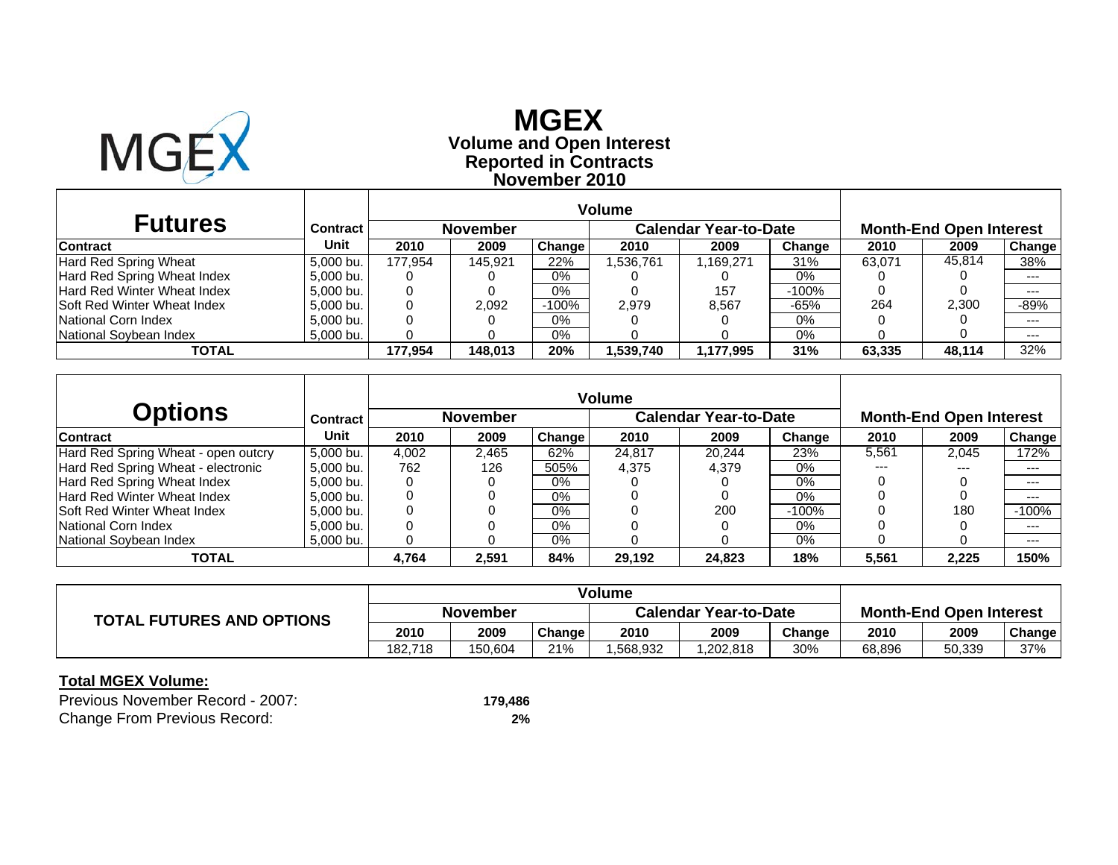

## **Reported in Contracts Volume and Open Interest MGEXNovember 2010**

| <b>Futures</b>                     | <b>Contract</b> |         | <b>November</b> |         |           | <b>Calendar Year-to-Date</b> |         |        | <b>Month-End Open Interest</b> |         |
|------------------------------------|-----------------|---------|-----------------|---------|-----------|------------------------------|---------|--------|--------------------------------|---------|
| <b>Contract</b>                    | Unit            | 2010    | 2009            | Change  | 2010      | 2009                         | Change  | 2010   | 2009                           | Change  |
| Hard Red Spring Wheat              | 5.000 bu.       | 177.954 | 145.921         | 22%     | 1,536,761 | 1,169,271                    | 31%     | 63.071 | 45,814                         | 38%     |
| Hard Red Spring Wheat Index        | 5.000 bu.       |         |                 | 0%      |           |                              | 0%      |        |                                | $-- -$  |
| <b>Hard Red Winter Wheat Index</b> | 5.000 bu.       |         |                 | $0\%$   |           | 157                          | $-100%$ |        |                                | $--$    |
| <b>Soft Red Winter Wheat Index</b> | 5.000 bu.       |         | 2,092           | $-100%$ | 2.979     | 8,567                        | $-65%$  | 264    | 2.300                          | -89%    |
| National Corn Index                | 5.000 bu.       |         |                 | 0%      |           |                              | 0%      |        |                                | $--$    |
| National Soybean Index             | 5,000 bu.       |         |                 | 0%      |           |                              | $0\%$   |        |                                | $- - -$ |
| TOTAL                              |                 | 177.954 | 148.013         | 20%     | 1,539,740 | 1,177,995                    | 31%     | 63.335 | 48,114                         | 32%     |

|                                     |                 |       |                 |        | <b>Volume</b> |                              |         |       |                                |         |
|-------------------------------------|-----------------|-------|-----------------|--------|---------------|------------------------------|---------|-------|--------------------------------|---------|
| <b>Options</b>                      | <b>Contract</b> |       | <b>November</b> |        |               | <b>Calendar Year-to-Date</b> |         |       | <b>Month-End Open Interest</b> |         |
| <b>Contract</b>                     | Unit            | 2010  | 2009            | Change | 2010          | 2009                         | Change  | 2010  | 2009                           | Change  |
| Hard Red Spring Wheat - open outcry | 5.000 bu.       | 4,002 | 2.465           | 62%    | 24,817        | 20.244                       | 23%     | 5.561 | 2.045                          | 172%    |
| Hard Red Spring Wheat - electronic  | 5.000 bu.       | 762   | 126             | 505%   | 4.375         | 4.379                        | 0%      | $---$ | $- - -$                        | ---     |
| Hard Red Spring Wheat Index         | 5.000 bu.       |       |                 | $0\%$  |               |                              | $0\%$   |       |                                | $--$    |
| Hard Red Winter Wheat Index         | 5.000 bu.       |       |                 | 0%     |               |                              | 0%      |       |                                | $--$    |
| <b>Soft Red Winter Wheat Index</b>  | 5.000 bu.       |       |                 | $0\%$  |               | 200                          | $-100%$ |       | 180                            | $-100%$ |
| National Corn Index                 | 5.000 bu.       |       |                 | $0\%$  |               |                              | $0\%$   |       |                                | $---$   |
| National Sovbean Index              | 5,000 bu.       |       |                 | $0\%$  |               |                              | 0%      |       |                                | $--$    |
| TOTAL                               |                 | 4.764 | 2,591           | 84%    | 29,192        | 24.823                       | 18%     | 5,561 | 2.225                          | 150%    |

|                                  | <b>Volume</b> |         |        |                              |          |        |                                |        |        |
|----------------------------------|---------------|---------|--------|------------------------------|----------|--------|--------------------------------|--------|--------|
| <b>TOTAL FUTURES AND OPTIONS</b> | November      |         |        | <b>Calendar Year-to-Date</b> |          |        | <b>Month-End Open Interest</b> |        |        |
|                                  | 2010          | 2009    | Change | 2010                         | 2009     | Change | 2010                           | 2009   | Change |
|                                  | 182.718       | 150.604 | 21%    | .568.932                     | .202,818 | 30%    | 68,896                         | 50,339 | 37%    |

| Previous November Record - 2007:    | 179.486 |
|-------------------------------------|---------|
| <b>Change From Previous Record:</b> | 2%      |